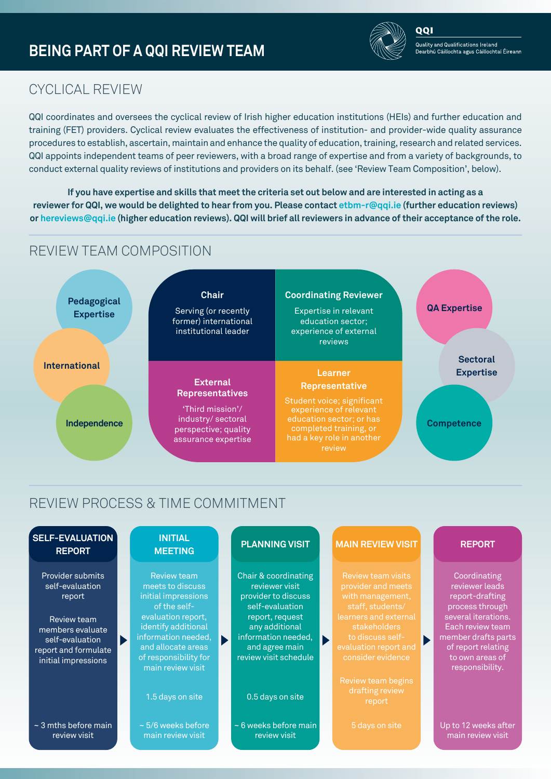

റവ

## CYCLICAL REVIEW

QQI coordinates and oversees the cyclical review of Irish higher education institutions (HEIs) and further education and training (FET) providers. Cyclical review evaluates the effectiveness of institution- and provider-wide quality assurance procedures to establish, ascertain, maintain and enhance the quality of education, training, research and related services. QQI appoints independent teams of peer reviewers, with a broad range of expertise and from a variety of backgrounds, to conduct external quality reviews of institutions and providers on its behalf. (see 'Review Team Composition', below).

**If you have expertise and skills that meet the criteria set out below and are interested in acting as a reviewer for QQI, we would be delighted to hear from you. Please contact<etbm-r@qqi.ie> (further education reviews) or <hereviews@qqi.ie> (higher education reviews). QQI will brief all reviewers in advance of their acceptance of the role.**

# REVIEW TEAM COMPOSITION



# REVIEW PROCESS & TIME COMMITMENT

| <b>SELF-EVALUATION</b><br><b>REPORT</b>                                                                                                            |                       | <b>INITIAL</b><br><b>MEETING</b>                                                                                                                                                                                      | <b>PLANNING VISIT</b>                                                                                                                                                                   |                       | <b>MAIN REVIEW VISIT</b>                                                                                                                                                                    | <b>REPORT</b>                                                                                                                                                                                      |
|----------------------------------------------------------------------------------------------------------------------------------------------------|-----------------------|-----------------------------------------------------------------------------------------------------------------------------------------------------------------------------------------------------------------------|-----------------------------------------------------------------------------------------------------------------------------------------------------------------------------------------|-----------------------|---------------------------------------------------------------------------------------------------------------------------------------------------------------------------------------------|----------------------------------------------------------------------------------------------------------------------------------------------------------------------------------------------------|
| Provider submits<br>self-evaluation<br>report<br>Review team<br>members evaluate<br>self-evaluation<br>report and formulate<br>initial impressions | $\blacktriangleright$ | <b>Review team</b><br>meets to discuss<br>initial impressions<br>of the self-<br>evaluation report,<br>identify additional<br>information needed,<br>and allocate areas<br>of responsibility for<br>main review visit | Chair & coordinating<br>reviewer visit<br>provider to discuss<br>self-evaluation<br>report, request<br>any additional<br>information needed,<br>and agree main<br>review visit schedule | $\blacktriangleright$ | Review team visits<br>provider and meets<br>with management,<br>staff, students/<br>learners and external<br>stakeholders<br>to discuss self-<br>evaluation report and<br>consider evidence | Coordinating<br>reviewer leads<br>report-drafting<br>process through<br>several iterations.<br>Each review team<br>member drafts parts<br>of report relating<br>to own areas of<br>responsibility. |
|                                                                                                                                                    |                       | 1.5 days on site                                                                                                                                                                                                      | 0.5 days on site                                                                                                                                                                        |                       | Review team begins<br>drafting review<br>report                                                                                                                                             |                                                                                                                                                                                                    |
| $\sim$ 3 mths before main<br>review visit                                                                                                          |                       | $\sim$ 5/6 weeks before<br>main review visit                                                                                                                                                                          | $\sim$ 6 weeks before main<br>review visit                                                                                                                                              |                       | 5 days on site                                                                                                                                                                              | Up to 12 weeks after<br>main review visit                                                                                                                                                          |